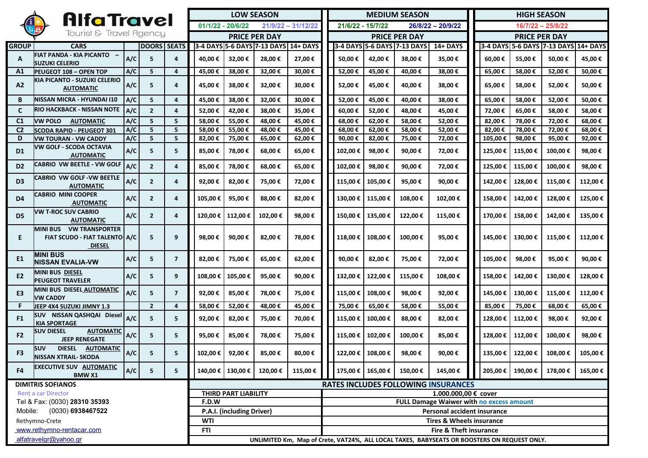| <b>AlfaTravel</b>              |                                                                                  |       |                    |                                                                                             | <b>LOW SEASON</b>    |                     |                                      |                      |                                                 | <b>MEDIUM SEASON</b>                       |                     |                             |          |                      | <b>HIGH SEASON</b> |          |                                      |         |
|--------------------------------|----------------------------------------------------------------------------------|-------|--------------------|---------------------------------------------------------------------------------------------|----------------------|---------------------|--------------------------------------|----------------------|-------------------------------------------------|--------------------------------------------|---------------------|-----------------------------|----------|----------------------|--------------------|----------|--------------------------------------|---------|
|                                |                                                                                  |       |                    | $01/1/22 - 20/6/22$<br>$21/9/22 - 31/12/22$                                                 |                      |                     |                                      |                      | 21/6/22 - 15/7/22<br>$26/8/22 - 20/9/22$        |                                            |                     |                             |          | 16/7/22 - 25/8/22    |                    |          |                                      |         |
| Tourist & Travel Agency        |                                                                                  |       |                    |                                                                                             | <b>PRICE PER DAY</b> |                     |                                      |                      |                                                 | <b>PRICE PER DAY</b>                       |                     |                             |          | <b>PRICE PER DAY</b> |                    |          |                                      |         |
| <b>GROUP</b>                   | <b>CARS</b>                                                                      |       | <b>DOORS SEATS</b> |                                                                                             |                      |                     | 3-4 DAYS 5-6 DAYS 7-13 DAYS 14+ DAYS |                      |                                                 |                                            |                     | 3-4 DAYS 5-6 DAYS 7-13 DAYS | 14+ DAYS |                      |                    |          | 3-4 DAYS 5-6 DAYS 7-13 DAYS 14+ DAYS |         |
| A                              | FIAT PANDA - KIA PICANTO -<br><b>SUZUKI CELERIO</b>                              | A/C   | 5                  | $\overline{a}$                                                                              | 40,00 €              | 32,00 €             | 28,00€                               | 27,00 €              |                                                 | 50,00€                                     | 42,00€              | 38,00€                      | 35,00€   |                      | 60,00 €            | 55,00€   | 50,00€                               | 45,00€  |
| A1                             | <b>IPEUGEOT 108 - OPEN TOP</b>                                                   | A/C   | 5                  | 4                                                                                           | 45,00 €              | 38,00€              | 32,00€                               | 30,00€               |                                                 | 52,00€                                     | 45,00€              | 40,00 €                     | 38,00€   |                      | 65,00€             | 58,00€   | 52,00 €                              | 50,00€  |
| A2                             | KIA PICANTO - SUZUKI CELERIO<br><b>AUTOMATIC</b>                                 | A/C   | 5                  | 4                                                                                           | 45,00 €              | 38,00€              | 32,00 €                              | 30,00€               |                                                 | 52,00 €                                    | 45,00€              | 40,00 €                     | 38,00€   |                      | 65,00 €            | 58,00€   | 52,00 €                              | 50,00€  |
| B                              | İNISSAN MICRA - HYUNDAI I10                                                      | A/C   | 5                  | 4                                                                                           | 45,00€               | 38,00€              | 32,00€                               | 30,00€               |                                                 | 52,00€                                     | 45,00€              | 40,00 €                     | 38,00€   |                      | 65,00€             | 58,00€   | 52,00€                               | 50,00€  |
| $\mathbf{C}$                   | RIO HACKBACK - NISSAN NOTE                                                       | A/C   | $\overline{2}$     | 4                                                                                           | 52,00€               | 42,00 €             | 38,00€                               | 35,00€               |                                                 | 60,00€                                     | 52,00€              | 48,00€                      | 45,00€   |                      | 72,00€             | 65,00€   | 58,00€                               | 58,00€  |
| C <sub>1</sub>                 | <b>VW POLO</b><br><b>AUTOMATIC</b>                                               | A/C   | 5                  | 5                                                                                           | 58,00€               | 55,00€              | 48,00€                               | 45,00€               |                                                 | 68,00€                                     | 62,00€              | 58,00€                      | 52,00€   |                      | 82,00€             | 78,00€   | 72,00€                               | 68,00€  |
| C <sub>2</sub>                 | <b>SCODA RAPID - PEUGEOT 301</b>                                                 | A/C   | 5                  | 5                                                                                           | 58,00€               | 55,00€              | 48,00€                               | 45,00€               |                                                 | 68,00€                                     | 62,00€              | 58,00€                      | 52,00€   |                      | 82,00€             | 78,00€   | 72,00€                               | 68,00€  |
| D                              | VW TOURAN - VW CADDY                                                             | A/C   | 5                  | 5                                                                                           | 82,00€               | 75,00 €             | 65,00 €                              | 62,00€               |                                                 | 90,00 €                                    | 82,00€              | 75,00 €                     | 72,00€   |                      | 105,00€            | 98,00 €  | 95,00€                               | 92,00 € |
| D <sub>1</sub>                 | VW GOLF - SCODA OCTAVIA<br><b>AUTOMATIC</b>                                      | A/C   | 5                  | 5                                                                                           | 85,00€               | 78,00€              | 68,00€                               | 65,00€               |                                                 | 102,00€                                    | 98,00€              | 90,00€                      | 72,00€   |                      | 125,00€            | 115,00€  | 100,00€                              | 98,00€  |
| D <sub>2</sub>                 | <b>CABRIO VW BEETLE - VW GOLF</b>                                                | A/C   | $\overline{2}$     | 4                                                                                           | 85,00€               | 78,00€              | 68,00€                               | 65,00€               |                                                 | 102,00€                                    | 98,00€              | 90,00€                      | 72,00€   |                      | 125,00€            | 115,00€  | 100,00€                              | 98,00€  |
| D <sub>3</sub>                 | <b>CABRIO VW GOLF - VW BEETLE</b><br><b>AUTOMATIC</b>                            | A/C   | $\overline{2}$     | 4                                                                                           | 92,00€               | 82,00€              | 75,00 €                              | 72,00€               |                                                 | 115,00€                                    | 105,00€             | 95,00€                      | 90,00€   |                      | 142,00€            | 128,00€  | 115,00€                              | 112,00€ |
| D4                             | <b>CABRIO MINI COOPER</b><br><b>AUTOMATIC</b>                                    | A/C   | $\mathbf{2}$       | $\overline{a}$                                                                              | 105,00€              | 95,00€              | 88,00€                               | 82,00€               |                                                 | 130,00€                                    | 115,00 €            | 108,00€                     | 102,00€  |                      | 158,00€            | 142,00€  | 128,00€                              | 125,00€ |
| D <sub>5</sub>                 | VW T-ROC SUV CABRIO<br><b>AUTOMATIC</b>                                          | A/C   | $\overline{2}$     | 4                                                                                           | 120,00 €             | 112,00 €            | 102,00€                              | 98,00€               |                                                 | 150,00 €                                   | 135,00€             | 122,00 €                    | 115,00€  |                      | 170,00€            | 158,00€  | 142,00 €                             | 135.00€ |
| E                              | <b>MINI BUS VW TRANSPORTER</b><br>FIAT SCUDO - FIAT TALENTO A/C<br><b>DIESEL</b> |       | 5                  | 9                                                                                           | 98,00€               | 90,00€              | 82,00 €                              | 78,00€               |                                                 | 118,00€                                    | 108,00€             | 100,00 €                    | 95,00€   |                      | 145,00€            | 130,00€  | 115,00€                              | 112,00€ |
| E1                             | IMINI BUS<br><b>INISSAN EVALIA-VW</b>                                            | A/C   | 5                  | $\overline{7}$                                                                              | 82,00€               | 75,00 €             | 65,00€                               | 62,00€               |                                                 | 90,00 €                                    | 82,00€              | 75,00€                      | 72,00€   |                      | 105,00€            | 98,00 €  | 95,00 €                              | 90,00€  |
| E <sub>2</sub>                 | <b>MINI BUS DIESEL</b><br><b>PEUGEOT TRAVELER</b>                                | A/C   | 5                  | 9                                                                                           | 108,00€              | 105,00€             | 95,00€                               | 90,00€               |                                                 | 132,00€                                    | 122,00€             | 115,00 €                    | 108,00€  |                      | 158,00€            | 142,00 € | 130,00€                              | 128,00€ |
| E3                             | MINI BUS DIESEL AUTOMATIC<br>lvw CADDY                                           | A/C   | 5                  | $\overline{7}$                                                                              | 92,00€               | 85,00€              | 78,00€                               | 75,00€               |                                                 | 115,00 €                                   | 108,00€             | 98,00€                      | 92,00€   |                      | 145,00€            | 130,00€  | 115,00€                              | 112,00€ |
| F                              | JEEP 4X4 SUZUKI JIMNY 1.3                                                        |       | $\overline{2}$     | 4                                                                                           | 58,00€               | 52,00€              | 48,00€                               | 45,00€               |                                                 | 75,00 €                                    | 65,00€              | 58,00€                      | 55,00€   |                      | 85,00€             | 75,00 €  | 68,00€                               | 65,00€  |
| F <sub>1</sub>                 | SUV NISSAN QASHQAI Diesel<br><b>KIA SPORTAGE</b>                                 | A/C   | 5                  | 5                                                                                           | 92,00€               | 82,00 €             | 75,00 €                              | 70,00€               |                                                 | 115,00€                                    | 100,00 €            | 88,00 €                     | 82,00€   |                      | 128,00€            | 112,00 € | 98,00 €                              | 92,00€  |
| F <sub>2</sub>                 | <b>SUV DIESEL</b><br><b>AUTOMATIC</b><br><b>JEEP RENEGATE</b>                    | A/C   | 5                  | 5                                                                                           | 95,00€               | 85,00€              | 78,00€                               | 75,00 €              |                                                 | 115,00€                                    | 102,00€             | 100,00€                     | 85,00€   |                      | 128,00€            | 112,00 € | 100,00€                              | 98,00€  |
| F3                             | <b>SUV</b><br><b>DIESEL</b><br><b>AUTOMATIC</b><br><b>NISSAN XTRAIL- SKODA</b>   | $A/C$ | 5                  | 5                                                                                           | 102,00€              | 92,00€              | 85,00 €                              | 80,00€               |                                                 | 122,00 €                                   | 108,00 €            | 98,00€                      | 90,00€   |                      | 135,00 €           | 122,00 € | 108,00€                              | 105,00€ |
| F4                             | <b>EXECUTIVE SUV AUTOMATIC</b><br><b>BMWX1</b>                                   | A/C   | 5                  | 5                                                                                           |                      | 140,00 €   130,00 € | 120,00 €                             | 115,00 €             |                                                 |                                            | 175,00 €   165,00 € | 150,00 €                    | 145,00 € |                      | 205,00 €           | 190,00 € | 178,00 €                             | 165,00€ |
| <b>DIMITRIS SOFIANOS</b>       |                                                                                  |       |                    |                                                                                             |                      |                     |                                      |                      |                                                 | <b>RATES INCLUDES FOLLOWING INSURANCES</b> |                     |                             |          |                      |                    |          |                                      |         |
| <b>Rent a car Director</b>     |                                                                                  |       |                    | THIRD PART LIABILITY                                                                        |                      |                     |                                      | 1.000.000,00 € cover |                                                 |                                            |                     |                             |          |                      |                    |          |                                      |         |
| Tel & Fax: (0030) 28310 35393  |                                                                                  |       |                    | F.D.W                                                                                       |                      |                     |                                      |                      | <b>FULL Damage Waiwer with no excess amount</b> |                                            |                     |                             |          |                      |                    |          |                                      |         |
| Mobile:<br>$(0030)$ 6938467522 |                                                                                  |       |                    | P.A.I. (including Driver)                                                                   |                      |                     |                                      |                      | <b>Personal accident insurance</b>              |                                            |                     |                             |          |                      |                    |          |                                      |         |
| Rethymno-Crete                 |                                                                                  |       |                    | <b>WTI</b>                                                                                  |                      |                     |                                      |                      | <b>Tires &amp; Wheels insurance</b>             |                                            |                     |                             |          |                      |                    |          |                                      |         |
| www.rethymno-rentacar.com      |                                                                                  |       |                    | <b>FTI</b><br>Fire & Theft insurance                                                        |                      |                     |                                      |                      |                                                 |                                            |                     |                             |          |                      |                    |          |                                      |         |
| alfatravelgr@yahoo.gr          |                                                                                  |       |                    | UNLIMITED Km, Map of Crete, VAT24%, ALL LOCAL TAXES, BABYSEATS OR BOOSTERS ON REQUEST ONLY. |                      |                     |                                      |                      |                                                 |                                            |                     |                             |          |                      |                    |          |                                      |         |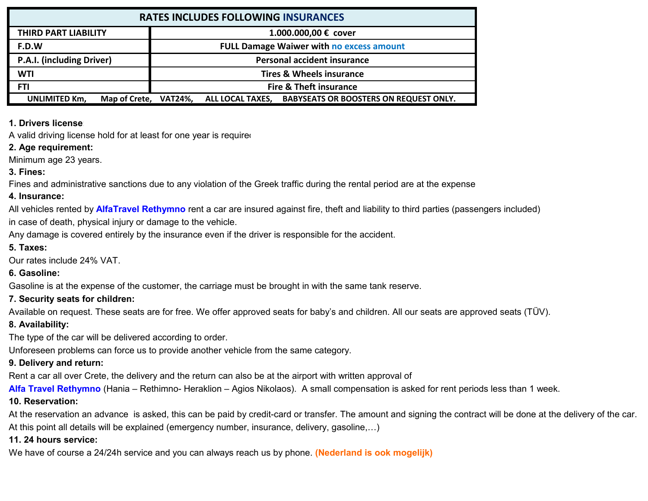| <b>RATES INCLUDES FOLLOWING INSURANCES</b>    |                                                                          |  |  |  |  |  |  |  |
|-----------------------------------------------|--------------------------------------------------------------------------|--|--|--|--|--|--|--|
| THIRD PART LIABILITY                          | 1.000.000,00 € cover                                                     |  |  |  |  |  |  |  |
| F.D.W                                         | <b>FULL Damage Waiwer with no excess amount</b>                          |  |  |  |  |  |  |  |
| P.A.I. (including Driver)                     | <b>Personal accident insurance</b>                                       |  |  |  |  |  |  |  |
| <b>WTI</b>                                    | <b>Tires &amp; Wheels insurance</b>                                      |  |  |  |  |  |  |  |
| FTI                                           | Fire & Theft insurance                                                   |  |  |  |  |  |  |  |
| Map of Crete, VAT24%,<br><b>UNLIMITED Km,</b> | <b>BABYSEATS OR BOOSTERS ON REQUEST ONLY.</b><br><b>ALL LOCAL TAXES,</b> |  |  |  |  |  |  |  |

#### **1. Drivers license:**

A valid driving license hold for at least for one year is required.

#### **2. Age requirement:**

Minimum age 23 years.

#### **3. Fines:**

Fines and administrative sanctions due to any violation of the Greek traffic during the rental period are at the expense

### **4. Insurance:**

All vehicles rented by **AlfaTravel Rethymno** rent a car are insured against fire, theft and liability to third parties (passengers included)

in case of death, physical injury or damage to the vehicle.

Any damage is covered entirely by the insurance even if the driver is responsible for the accident.

#### **5. Taxes:**

Our rates include 24% VAT.

### **6. Gasoline:**

Gasoline is at the expense of the customer, the carriage must be brought in with the same tank reserve.

# **7. Security seats for children:**

Available on request. These seats are for free. We offer approved seats for baby's and children. All our seats are approved seats (TÜV).

### **8. Availability:**

The type of the car will be delivered according to order.

Unforeseen problems can force us to provide another vehicle from the same category.

# **9. Delivery and return:**

Rent a car all over Crete, the delivery and the return can also be at the airport with written approval of

**Alfa Travel Rethymno** (Hania – Rethimno- Heraklion – Agios Nikolaos). A small compensation is asked for rent periods less than 1 week.

# **10. Reservation:**

At this point all details will be explained (emergency number, insurance, delivery, gasoline,…) At the reservation an advance is asked, this can be paid by credit-card or transfer. The amount and signing the contract will be done at the delivery of the car.

# **11. 24 hours service:**

We have of course a 24/24h service and you can always reach us by phone. **(Nederland is ook mogelijk)**